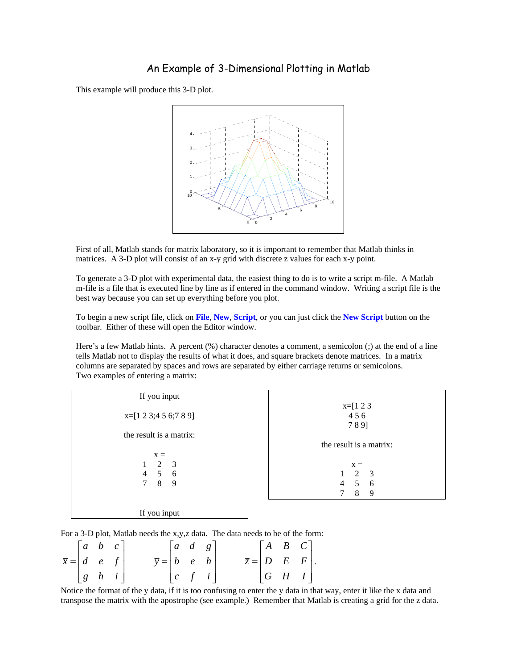## An Example of 3-Dimensional Plotting in Matlab

This example will produce this 3-D plot.



First of all, Matlab stands for matrix laboratory, so it is important to remember that Matlab thinks in matrices. A 3-D plot will consist of an x-y grid with discrete z values for each x-y point.

To generate a 3-D plot with experimental data, the easiest thing to do is to write a script m-file. A Matlab m-file is a file that is executed line by line as if entered in the command window. Writing a script file is the best way because you can set up everything before you plot.

To begin a new script file, click on **File**, **New**, **Script**, or you can just click the **New Script** button on the toolbar. Either of these will open the Editor window.

Here's a few Matlab hints. A percent (%) character denotes a comment, a semicolon (;) at the end of a line tells Matlab not to display the results of what it does, and square brackets denote matrices. In a matrix columns are separated by spaces and rows are separated by either carriage returns or semicolons. Two examples of entering a matrix:

| If you input                                          |                                                                          |  |  |  |  |
|-------------------------------------------------------|--------------------------------------------------------------------------|--|--|--|--|
| $x=[1 2 3; 4 5 6; 7 8 9]$                             | $x=[1 2 3$<br>456<br>789]                                                |  |  |  |  |
| the result is a matrix:                               |                                                                          |  |  |  |  |
|                                                       | the result is a matrix:                                                  |  |  |  |  |
| $X =$<br>2 3<br>$4\quad 5\quad 6$<br>$\tau$<br>8<br>9 | $x =$<br>2<br>$\overline{\mathbf{3}}$<br>5 6<br>$\overline{4}$<br>8<br>9 |  |  |  |  |
| If you input                                          |                                                                          |  |  |  |  |

For a 3-D plot, Matlab needs the x,y,z data. The data needs to be of the form:

|                                 | $\begin{bmatrix} a & b & c \end{bmatrix}$                 |  |                                                     | $\begin{vmatrix} a & d & g \end{vmatrix}$ |  |  | $\begin{bmatrix} A & B & C \end{bmatrix}$ |  |
|---------------------------------|-----------------------------------------------------------|--|-----------------------------------------------------|-------------------------------------------|--|--|-------------------------------------------|--|
| $\bar{x} =  d \quad e \quad f $ |                                                           |  | $\bar{y} = \begin{vmatrix} b & e & h \end{vmatrix}$ |                                           |  |  | $\overline{z} =  D \quad E \quad F .$     |  |
|                                 | $\begin{array}{ c c c c c } \hline g & h & i \end{array}$ |  |                                                     | c f i                                     |  |  | $ G \ H \ I $                             |  |

Notice the format of the y data, if it is too confusing to enter the y data in that way, enter it like the x data and transpose the matrix with the apostrophe (see example.) Remember that Matlab is creating a grid for the z data.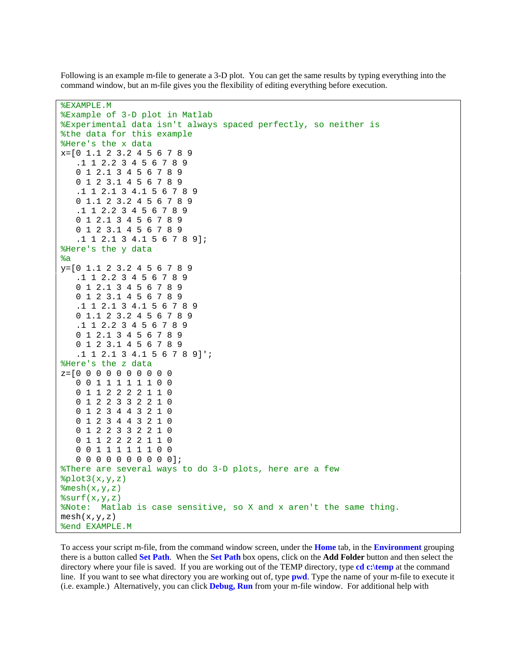Following is an example m-file to generate a 3-D plot. You can get the same results by typing everything into the command window, but an m-file gives you the flexibility of editing everything before execution.

```
%EXAMPLE.M 
%Example of 3-D plot in Matlab 
%Experimental data isn't always spaced perfectly, so neither is 
%the data for this example 
%Here's the x data
x=[0 1.1 2 3.2 4 5 6 7 8 9 
    .1 1 2.2 3 4 5 6 7 8 9 
    0 1 2.1 3 4 5 6 7 8 9 
    0 1 2 3.1 4 5 6 7 8 9 
    .1 1 2.1 3 4.1 5 6 7 8 9 
    0 1.1 2 3.2 4 5 6 7 8 9 
    .1 1 2.2 3 4 5 6 7 8 9 
    0 1 2.1 3 4 5 6 7 8 9 
    0 1 2 3.1 4 5 6 7 8 9 
    .1 1 2.1 3 4.1 5 6 7 8 9]; 
%Here's the y data 
kay=[0 1.1 2 3.2 4 5 6 7 8 9 
    .1 1 2.2 3 4 5 6 7 8 9 
    0 1 2.1 3 4 5 6 7 8 9 
    0 1 2 3.1 4 5 6 7 8 9 
    .1 1 2.1 3 4.1 5 6 7 8 9 
    0 1.1 2 3.2 4 5 6 7 8 9 
    .1 1 2.2 3 4 5 6 7 8 9 
    0 1 2.1 3 4 5 6 7 8 9 
    0 1 2 3.1 4 5 6 7 8 9 
    .1 1 2.1 3 4.1 5 6 7 8 9]'; 
%Here's the z data
z=[0 0 0 0 0 0 0 0 0 0 
    0 0 1 1 1 1 1 1 0 0 
    0 1 1 2 2 2 2 1 1 0 
    0 1 2 2 3 3 2 2 1 0 
    0 1 2 3 4 4 3 2 1 0 
    0 1 2 3 4 4 3 2 1 0 
    0 1 2 2 3 3 2 2 1 0 
    0 1 1 2 2 2 2 1 1 0 
    0 0 1 1 1 1 1 1 0 0 
    0 0 0 0 0 0 0 0 0 0]; 
%There are several ways to do 3-D plots, here are a few 
%plot3(x,y,z)\text{Imesh}(x,y,z)surrf(x,y,z)%Note: Matlab is case sensitive, so X and x aren't the same thing. 
mesh(x,y,z)%end EXAMPLE.M
```
To access your script m-file, from the command window screen, under the **Home** tab, in the **Environment** grouping there is a button called **Set Path**. When the **Set Path** box opens, click on the **Add Folder** button and then select the directory where your file is saved. If you are working out of the TEMP directory, type **cd c:\temp** at the command line. If you want to see what directory you are working out of, type **pwd**. Type the name of your m-file to execute it (i.e. example.) Alternatively, you can click **Debug, Run** from your m-file window. For additional help with